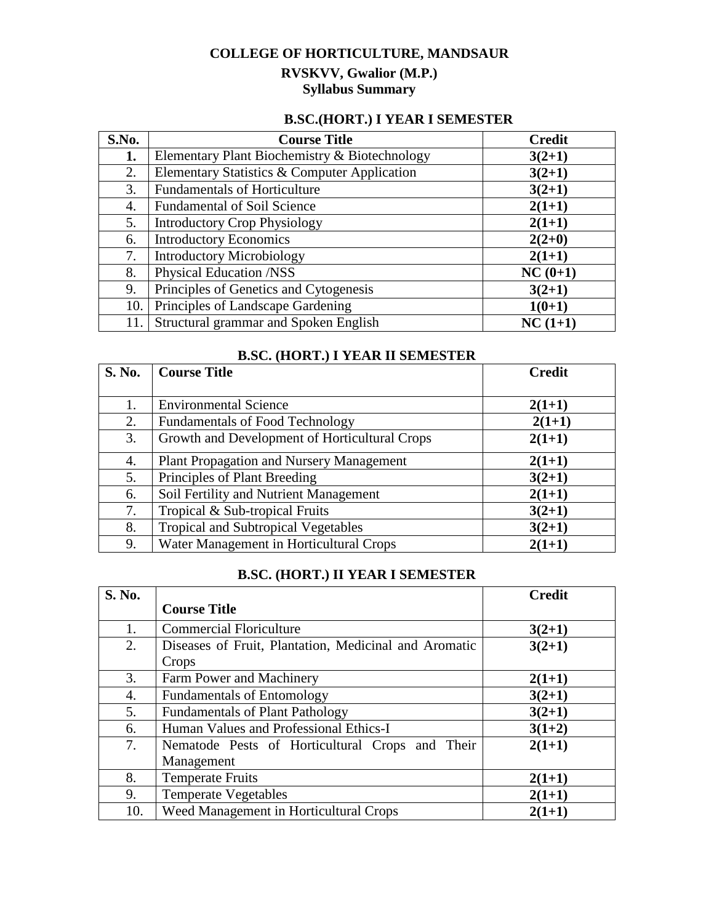# **COLLEGE OF HORTICULTURE, MANDSAUR RVSKVV, Gwalior (M.P.) Syllabus Summary**

### **B.SC.(HORT.) I YEAR I SEMESTER**

| S.No. | <b>Course Title</b>                           | <b>Credit</b> |
|-------|-----------------------------------------------|---------------|
| 1.    | Elementary Plant Biochemistry & Biotechnology | $3(2+1)$      |
| 2.    | Elementary Statistics & Computer Application  | $3(2+1)$      |
| 3.    | <b>Fundamentals of Horticulture</b>           | $3(2+1)$      |
| 4.    | <b>Fundamental of Soil Science</b>            | $2(1+1)$      |
| 5.    | <b>Introductory Crop Physiology</b>           | $2(1+1)$      |
| 6.    | <b>Introductory Economics</b>                 | $2(2+0)$      |
| 7.    | <b>Introductory Microbiology</b>              | $2(1+1)$      |
| 8.    | Physical Education /NSS                       | $NC(0+1)$     |
| 9.    | Principles of Genetics and Cytogenesis        | $3(2+1)$      |
| 10.   | Principles of Landscape Gardening             | $1(0+1)$      |
|       | Structural grammar and Spoken English         | $NC(1+1)$     |

| S. No. | <b>Course Title</b>                             | <b>Credit</b> |
|--------|-------------------------------------------------|---------------|
| 1.     | <b>Environmental Science</b>                    | $2(1+1)$      |
| 2.     | <b>Fundamentals of Food Technology</b>          | $2(1+1)$      |
| 3.     | Growth and Development of Horticultural Crops   | $2(1+1)$      |
| 4.     | <b>Plant Propagation and Nursery Management</b> | $2(1+1)$      |
| 5.     | Principles of Plant Breeding                    | $3(2+1)$      |
| 6.     | Soil Fertility and Nutrient Management          | $2(1+1)$      |
| 7.     | Tropical & Sub-tropical Fruits                  | $3(2+1)$      |
| 8.     | <b>Tropical and Subtropical Vegetables</b>      | $3(2+1)$      |
| 9.     | Water Management in Horticultural Crops         | $2(1+1)$      |

## **B.SC. (HORT.) I YEAR II SEMESTER**

### **B.SC. (HORT.) II YEAR I SEMESTER**

| S. No. |                                                       | <b>Credit</b> |
|--------|-------------------------------------------------------|---------------|
|        | <b>Course Title</b>                                   |               |
| 1.     | <b>Commercial Floriculture</b>                        | $3(2+1)$      |
| 2.     | Diseases of Fruit, Plantation, Medicinal and Aromatic | $3(2+1)$      |
|        | Crops                                                 |               |
| 3.     | Farm Power and Machinery                              | $2(1+1)$      |
| 4.     | <b>Fundamentals of Entomology</b>                     | $3(2+1)$      |
| 5.     | <b>Fundamentals of Plant Pathology</b>                | $3(2+1)$      |
| 6.     | Human Values and Professional Ethics-I                | $3(1+2)$      |
| 7.     | Nematode Pests of Horticultural Crops and Their       | $2(1+1)$      |
|        | Management                                            |               |
| 8.     | <b>Temperate Fruits</b>                               | $2(1+1)$      |
| 9.     | <b>Temperate Vegetables</b>                           | $2(1+1)$      |
| 10.    | Weed Management in Horticultural Crops                | $2(1+1)$      |